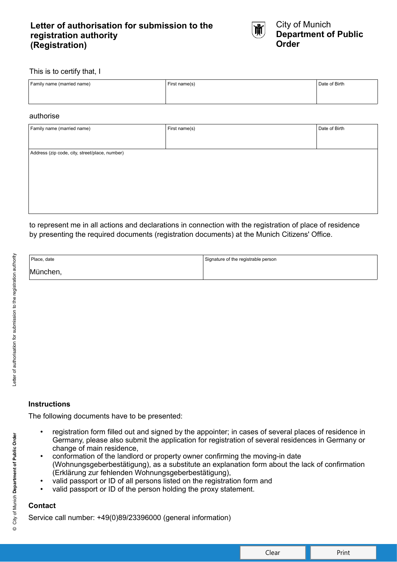## **Letter of authorisation for submission to the registration authority (Registration)**



#### This is to certify that, I

| Family name (married name) | First name(s) | Date of Birth |
|----------------------------|---------------|---------------|
|                            |               |               |
|                            |               |               |

#### authorise

| Family name (married name)                     | First name(s) | Date of Birth |  |  |  |  |  |  |  |
|------------------------------------------------|---------------|---------------|--|--|--|--|--|--|--|
|                                                |               |               |  |  |  |  |  |  |  |
| Address (zip code, city, street/place, number) |               |               |  |  |  |  |  |  |  |
|                                                |               |               |  |  |  |  |  |  |  |
|                                                |               |               |  |  |  |  |  |  |  |
|                                                |               |               |  |  |  |  |  |  |  |
|                                                |               |               |  |  |  |  |  |  |  |
|                                                |               |               |  |  |  |  |  |  |  |

to represent me in all actions and declarations in connection with the registration of place of residence by presenting the required documents (registration documents) at the Munich Citizens' Office.

| Place, date | Signature of the registrable person |
|-------------|-------------------------------------|
| München,    |                                     |

The following documents have to be presented:

- registration form filled out and signed by the appointer; in cases of several places of residence in Germany, please also submit the application for registration of several residences in Germany or change of main residence,
- conformation of the landlord or property owner confirming the moving-in date (Wohnungsgeberbestätigung), as a substitute an explanation form about the lack of confirmation (Erklärung zur fehlenden Wohnungsgeberbestätigung),
- valid passport or ID of all persons listed on the registration form and
- valid passport or ID of the person holding the proxy statement.

### **Contact**

Service call number: +49(0)89/23396000 (general information)

 $\circledcirc$ 

Clear **No. 1** Print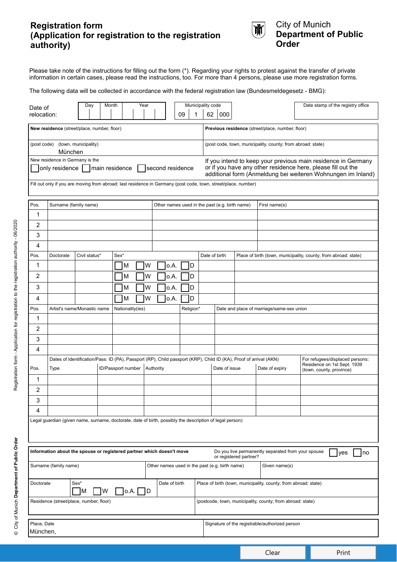## **Registration form (Application for registration to the registration authority)**



## City of Munich **Department of Public Order**

Please take note of the instructions for filling out the form (\*). Regarding your rights to protest against the transfer of private information in certain cases, please read the instructions, too. For more than 4 persons, please use more registration forms.

The following data will be collected in accordance with the federal registration law (Bundesmeldegesetz - BMG):

| Municipality code<br>Year<br>Day<br>Month<br>Date of<br>relocation:<br>09<br>1                                                                                                                                                                                                                                                                                                                       |                                                                       |               |  |                    |   |           |      |                                                | 62                                                              | 000                                                                                                                                                  |               |                        | Date stamp of the registry office                           |                                                                                            |
|------------------------------------------------------------------------------------------------------------------------------------------------------------------------------------------------------------------------------------------------------------------------------------------------------------------------------------------------------------------------------------------------------|-----------------------------------------------------------------------|---------------|--|--------------------|---|-----------|------|------------------------------------------------|-----------------------------------------------------------------|------------------------------------------------------------------------------------------------------------------------------------------------------|---------------|------------------------|-------------------------------------------------------------|--------------------------------------------------------------------------------------------|
|                                                                                                                                                                                                                                                                                                                                                                                                      | New residence (street/place, number, floor)                           |               |  |                    |   |           |      |                                                |                                                                 | Previous residence (street/place, number, floor)                                                                                                     |               |                        |                                                             |                                                                                            |
| (town, municipality)<br>(post code)<br>München                                                                                                                                                                                                                                                                                                                                                       |                                                                       |               |  |                    |   |           |      |                                                |                                                                 |                                                                                                                                                      |               |                        | (post code, town, municipality, county; from abroad: state) |                                                                                            |
| New residence in Germany is the<br>If you intend to keep your previous main residence in Germany<br>or if you have any other residence here, please fill out the<br>only residence main residence second residence<br>additional form (Anmeldung bei weiteren Wohnungen im Inland)<br>Fill out only if you are moving from abroad: last residence in Germany (post code, town, street/place, number) |                                                                       |               |  |                    |   |           |      |                                                |                                                                 |                                                                                                                                                      |               |                        |                                                             |                                                                                            |
| Pos.<br>Surname (family name)<br>Other names used in the past (e.g. birth name)                                                                                                                                                                                                                                                                                                                      |                                                                       |               |  |                    |   |           |      |                                                |                                                                 |                                                                                                                                                      |               |                        | First name(s)                                               |                                                                                            |
| 1                                                                                                                                                                                                                                                                                                                                                                                                    |                                                                       |               |  |                    |   |           |      |                                                |                                                                 |                                                                                                                                                      |               |                        |                                                             |                                                                                            |
| 2                                                                                                                                                                                                                                                                                                                                                                                                    |                                                                       |               |  |                    |   |           |      |                                                |                                                                 |                                                                                                                                                      |               |                        |                                                             |                                                                                            |
| 3                                                                                                                                                                                                                                                                                                                                                                                                    |                                                                       |               |  |                    |   |           |      |                                                |                                                                 |                                                                                                                                                      |               |                        |                                                             |                                                                                            |
| 4                                                                                                                                                                                                                                                                                                                                                                                                    |                                                                       |               |  |                    |   |           |      |                                                |                                                                 |                                                                                                                                                      |               |                        |                                                             |                                                                                            |
| Pos.                                                                                                                                                                                                                                                                                                                                                                                                 | Doctorate                                                             | Civil status* |  | Sex*               |   |           |      |                                                |                                                                 | Date of birth                                                                                                                                        |               |                        |                                                             | Place of birth (town, municipality, county; from abroad: state)                            |
| 1                                                                                                                                                                                                                                                                                                                                                                                                    |                                                                       |               |  | M                  | W |           | o.A. | D                                              |                                                                 |                                                                                                                                                      |               |                        |                                                             |                                                                                            |
| 2                                                                                                                                                                                                                                                                                                                                                                                                    |                                                                       | W<br>М        |  |                    |   |           | o.A. | D                                              |                                                                 |                                                                                                                                                      |               |                        |                                                             |                                                                                            |
| 3                                                                                                                                                                                                                                                                                                                                                                                                    |                                                                       | W<br>м        |  |                    |   |           | o.A. | D                                              |                                                                 |                                                                                                                                                      |               |                        |                                                             |                                                                                            |
| 4                                                                                                                                                                                                                                                                                                                                                                                                    |                                                                       |               |  | M                  | W |           | o.A. | D                                              |                                                                 |                                                                                                                                                      |               |                        |                                                             |                                                                                            |
| Pos.                                                                                                                                                                                                                                                                                                                                                                                                 | Artist's name/Monastic name                                           |               |  | Nationality(ies)   |   |           |      | Religion*                                      |                                                                 | Date and place of marriage/same-sex union                                                                                                            |               |                        |                                                             |                                                                                            |
| 1                                                                                                                                                                                                                                                                                                                                                                                                    |                                                                       |               |  |                    |   |           |      |                                                |                                                                 |                                                                                                                                                      |               |                        |                                                             |                                                                                            |
| $\overline{2}$                                                                                                                                                                                                                                                                                                                                                                                       |                                                                       |               |  |                    |   |           |      |                                                |                                                                 |                                                                                                                                                      |               |                        |                                                             |                                                                                            |
| 3                                                                                                                                                                                                                                                                                                                                                                                                    |                                                                       |               |  |                    |   |           |      |                                                |                                                                 |                                                                                                                                                      |               |                        |                                                             |                                                                                            |
| 4                                                                                                                                                                                                                                                                                                                                                                                                    |                                                                       |               |  |                    |   |           |      |                                                |                                                                 |                                                                                                                                                      |               |                        |                                                             |                                                                                            |
| Pos.                                                                                                                                                                                                                                                                                                                                                                                                 | Type                                                                  |               |  | ID/Passport number |   | Authority |      |                                                |                                                                 | Dates of Identification/Pass: ID (PA), Passport (RP), Child passport (KRP), Child ID (KA), Proof of arrival (AKN)<br>Date of issue<br>Date of expiry |               |                        |                                                             | For refugees/displaced persons:<br>Residence on 1st Sept. 1939<br>(town, county, province) |
| 1                                                                                                                                                                                                                                                                                                                                                                                                    |                                                                       |               |  |                    |   |           |      |                                                |                                                                 |                                                                                                                                                      |               |                        |                                                             |                                                                                            |
| $\overline{2}$                                                                                                                                                                                                                                                                                                                                                                                       |                                                                       |               |  |                    |   |           |      |                                                |                                                                 |                                                                                                                                                      |               |                        |                                                             |                                                                                            |
| 3                                                                                                                                                                                                                                                                                                                                                                                                    |                                                                       |               |  |                    |   |           |      |                                                |                                                                 |                                                                                                                                                      |               |                        |                                                             |                                                                                            |
| 4                                                                                                                                                                                                                                                                                                                                                                                                    |                                                                       |               |  |                    |   |           |      |                                                |                                                                 |                                                                                                                                                      |               |                        |                                                             |                                                                                            |
| Legal guardian (given name, surname, doctorate, date of birth, possibly the description of legal person)                                                                                                                                                                                                                                                                                             |                                                                       |               |  |                    |   |           |      |                                                |                                                                 |                                                                                                                                                      |               |                        |                                                             |                                                                                            |
|                                                                                                                                                                                                                                                                                                                                                                                                      | Information about the spouse or registered partner which doesn't move |               |  |                    |   |           |      |                                                |                                                                 |                                                                                                                                                      |               | or registered partner? | Do you live permanently separated from your spouse          | ves<br>no                                                                                  |
| Other names used in the past (e.g. birth name)<br>Surname (family name)                                                                                                                                                                                                                                                                                                                              |                                                                       |               |  |                    |   |           |      |                                                |                                                                 |                                                                                                                                                      | Given name(s) |                        |                                                             |                                                                                            |
| Sex*<br>Date of birth<br>Doctorate<br>$\bigcup$ O.A. $\bigcap$ D<br>W<br> M                                                                                                                                                                                                                                                                                                                          |                                                                       |               |  |                    |   |           |      |                                                | Place of birth (town, municipality, county; from abroad: state) |                                                                                                                                                      |               |                        |                                                             |                                                                                            |
|                                                                                                                                                                                                                                                                                                                                                                                                      | Residence (street/place, number, floor)                               |               |  |                    |   |           |      |                                                |                                                                 | (postcode, town, municipality, county; from abroad: state)                                                                                           |               |                        |                                                             |                                                                                            |
| Place, Date<br>München,                                                                                                                                                                                                                                                                                                                                                                              |                                                                       |               |  |                    |   |           |      | Signature of the registrable/authorized person |                                                                 |                                                                                                                                                      |               |                        |                                                             |                                                                                            |

© City of Munich Department of Public Order

Clear **Print**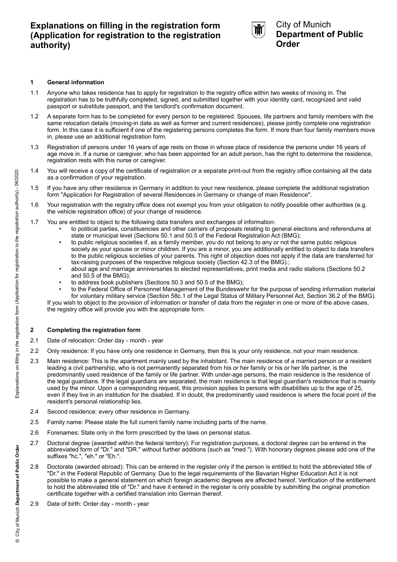# **Explanations on filling in the registration form (Application for registration to the registration authority)**



### City of Munich **Department of Public Order**

#### **1 General information**

- 1.1 Anyone who takes residence has to apply for registration to the registry office within two weeks of moving in. The registration has to be truthfully completed, signed, and submitted together with your identity card, recognized and valid passport or substitute passport, and the landlord's confirmation document.
- 1.2 A separate form has to be completed for every person to be registered. Spouses, life partners and family members with the same relocation details (moving-in date as well as former and current residences), please jointly complete one registration form. In this case it is sufficient if one of the registering persons completes the form. If more than four family members move in, please use an additional registration form.
- 1.3 Registration of persons under 16 years of age rests on those in whose place of residence the persons under 16 years of age move in. If a nurse or caregiver, who has been appointed for an adult person, has the right to determine the residence, registration rests with this nurse or caregiver.
- 1.4 You will receive a copy of the certificate of registration or a separate print-out from the registry office containing all the data as a confirmation of your registration.
- 1.5 If you have any other residence in Germany in addition to your new residence, please complete the additional registration form "Application for Registration of several Residences in Germany or change of main Residence".
- 1.6 Your registration with the registry office does not exempt you from your obligation to notify possible other authorities (e.g. the vehicle registration office) of your change of residence.
- 1.7 You are entitled to object to the following data transfers and exchanges of information:
	- to political parties, constituencies and other carriers of proposals relating to general elections and referendums at state or municipal level (Sections 50.1 and 50.5 of the Federal Registration Act (BMG);
	- to public religious societies if, as a family member, you do not belong to any or not the same public religious society as your spouse or minor children. If you are a minor, you are additionally entitled to object to data transfers to the public religious societies of your parents. This right of objection does not apply if the data are transferred for tax-raising purposes of the respective religious society (Section 42.3 of the BMG).;
	- about age and marriage anniversaries to elected representatives, print media and radio stations (Sections 50.2 and 50.5 of the BMG);
	- to address book publishers (Sections 50.3 and 50.5 of the BMG);
	- to the Federal Office of Personnel Management of the Bundeswehr for the purpose of sending information material for voluntary military service (Section 58c.1 of the Legal Status of Military Personnel Act, Section 36.2 of the BMG).

If you wish to object to the provision of information or transfer of data from the register in one or more of the above cases, the registry office will provide you with the appropriate form.

#### **2 Completing the registration form**

- 2.1 Date of relocation: Order day month year
- 2.2 Only residence: If you have only one residence in Germany, then this is your only residence, not your main residence.
- 2.3 Main residence: This is the apartment mainly used by the inhabitant. The main residence of a married person or a resident leading a civil partnership, who is not permanently separated from his or her family or his or her life partner, is the predominantly used residence of the family or life partner. With under-age persons, the main residence is the residence of the legal guardians. If the legal guardians are separated, the main residence is that legal guardian's residence that is mainly used by the minor. Upon a corresponding request, this provision applies to persons with disabilities up to the age of 25, even if they live in an institution for the disabled. If in doubt, the predominantly used residence is where the focal point of the resident's personal relationship lies.
- 2.4 Second residence: every other residence in Germany.
- 2.5 Family name: Please state the full current family name including parts of the name.
- 2.6 Forenames: State only in the form prescribed by the laws on personal status.
- 2.7 Doctoral degree (awarded within the federal territory): For registration purposes, a doctoral degree can be entered in the abbreviated form of "Dr." and "DR." without further additions (such as "med."). With honorary degrees please add one of the suffixes "hc.", "eh." or "Eh.".
- 2.8 Doctorate (awarded abroad): This can be entered in the register only if the person is entitled to hold the abbreviated title of "Dr." in the Federal Republic of Germany. Due to the legal requirements of the Bavarian Higher Education Act it is not possible to make a general statement on which foreign academic degrees are affected hereof. Verification of the entitlement to hold the abbreviated title of "Dr." and have it entered in the register is only possible by submitting the original promotion certificate together with a certified translation into German thereof.
- 2.9 Date of birth: Order day month year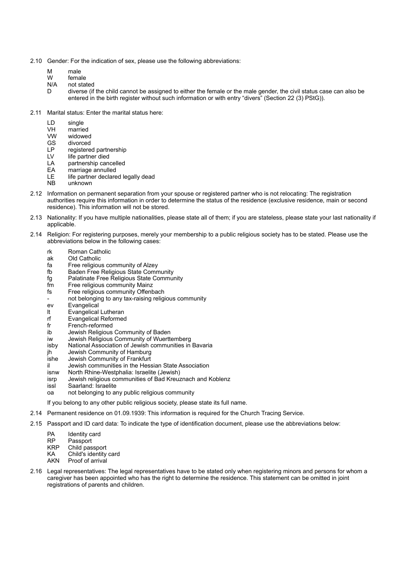- 2.10 Gender: For the indication of sex, please use the following abbreviations:
	- M male
	- W female
	- N/A not stated
	- D diverse (if the child cannot be assigned to either the female or the male gender, the civil status case can also be entered in the birth register without such information or with entry "divers" (Section 22 (3) PStG)).
- 2.11 Marital status: Enter the marital status here:
	- LD single
	- VH married
	- VW widowed
	- GS divorced
	- LP registered partnership
	- LV life partner died
	- LA partnership cancelled
	- EA marriage annulled
	- LE life partner declared legally dead
	- NB unknown
- 2.12 Information on permanent separation from your spouse or registered partner who is not relocating: The registration authorities require this information in order to determine the status of the residence (exclusive residence, main or second residence). This information will not be stored.
- 2.13 Nationality: If you have multiple nationalities, please state all of them; if you are stateless, please state your last nationality if applicable.
- 2.14 Religion: For registering purposes, merely your membership to a public religious society has to be stated. Please use the abbreviations below in the following cases:
	- rk Roman Catholic
	- ak Old Catholic
	- fa Free religious community of Alzey
	- fb Baden Free Religious State Community
	- fg Palatinate Free Religious State Community
	- fm Free religious community Mainz
	- fs Free religious community Offenbach
	- not belonging to any tax-raising religious community
	- ev Evangelical
	- lt Evangelical Lutheran
	- rf Evangelical Reformed
	- fr French-reformed
	- ib Jewish Religious Community of Baden
	- iw Jewish Religious Community of Wuerttemberg
	- isby National Association of Jewish communities in Bavaria
	- jh Jewish Community of Hamburg
	- ishe Jewish Community of Frankfurt
	- il Jewish communities in the Hessian State Association
	- isnw North Rhine-Westphalia: Israelite (Jewish)
	- isrp Jewish religious communities of Bad Kreuznach and Koblenz
	- issl Saarland: Israelite
	- oa not belonging to any public religious community

If you belong to any other public religious society, please state its full name.

- 2.14 Permanent residence on 01.09.1939: This information is required for the Church Tracing Service.
- 2.15 Passport and ID card data: To indicate the type of identification document, please use the abbreviations below:
	- PA Identity card
	- RP Passport
	- KRP Child passport
	- KA Child's identity card
	- AKN Proof of arrival
- 2.16 Legal representatives: The legal representatives have to be stated only when registering minors and persons for whom a caregiver has been appointed who has the right to determine the residence. This statement can be omitted in joint registrations of parents and children.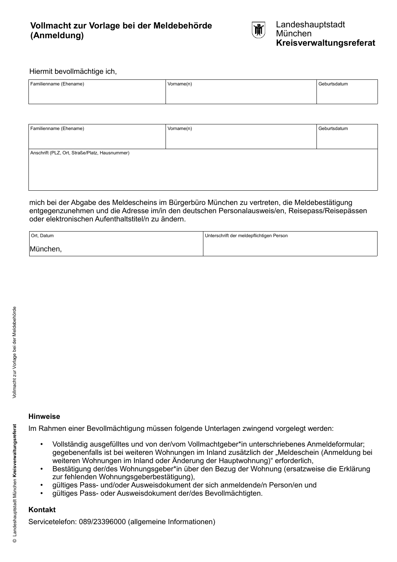# **Vollmacht zur Vorlage bei der Meldebehörde (Anmeldung)**



### Hiermit bevollmächtige ich,

| Familienname (Ehename) | Vorname(n) | Geburtsdatum |
|------------------------|------------|--------------|
|                        |            |              |
|                        |            |              |

| Familienname (Ehename)                         | Vorname(n) | Geburtsdatum |  |  |  |  |  |  |  |
|------------------------------------------------|------------|--------------|--|--|--|--|--|--|--|
|                                                |            |              |  |  |  |  |  |  |  |
| Anschrift (PLZ, Ort, Straße/Platz, Hausnummer) |            |              |  |  |  |  |  |  |  |
|                                                |            |              |  |  |  |  |  |  |  |
|                                                |            |              |  |  |  |  |  |  |  |
|                                                |            |              |  |  |  |  |  |  |  |

mich bei der Abgabe des Meldescheins im Bürgerbüro München zu vertreten, die Meldebestätigung entgegenzunehmen und die Adresse im/in den deutschen Personalausweis/en, Reisepass/Reisepässen oder elektronischen Aufenthaltstitel/n zu ändern.

| Ort, Datum | Unterschrift der meldepflichtigen Person |
|------------|------------------------------------------|
| München,   |                                          |

### **Hinweise**

Im Rahmen einer Bevollmächtigung müssen folgende Unterlagen zwingend vorgelegt werden:

- Vollständig ausgefülltes und von der/vom Vollmachtgeber\*in unterschriebenes Anmeldeformular; gegebenenfalls ist bei weiteren Wohnungen im Inland zusätzlich der "Meldeschein (Anmeldung bei weiteren Wohnungen im Inland oder Änderung der Hauptwohnung)" erforderlich,
- Bestätigung der/des Wohnungsgeber\*in über den Bezug der Wohnung (ersatzweise die Erklärung zur fehlenden Wohnungsgeberbestätigung),
- gültiges Pass- und/oder Ausweisdokument der sich anmeldende/n Person/en und
- gültiges Pass- oder Ausweisdokument der/des Bevollmächtigten.

### **Kontakt**

Servicetelefon: 089/23396000 (allgemeine Informationen)